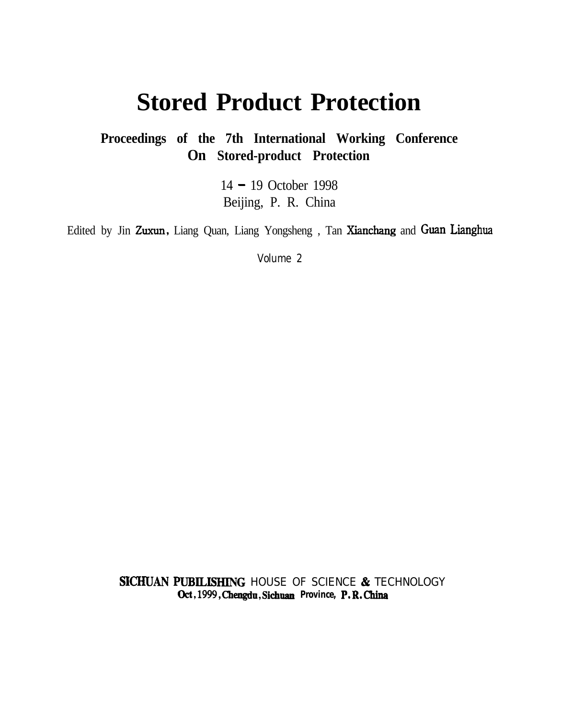# **Stored Product Protection**

**Proceedings of the 7th International Working Conference On Stored-product Protection**

> 14 - 19 October 1998 Beijing, P. R. China

Edited by Jin Zuxun, Liang Quan, Liang Yongsheng, Tan Xianchang and Guan Lianghua

Volume 2

SICHUAN PUBILISHING HOUSE OF SCIENCE & TECHNOLOGY **Ckt,1999,Chengdu,Sichuan Province, P.R.China**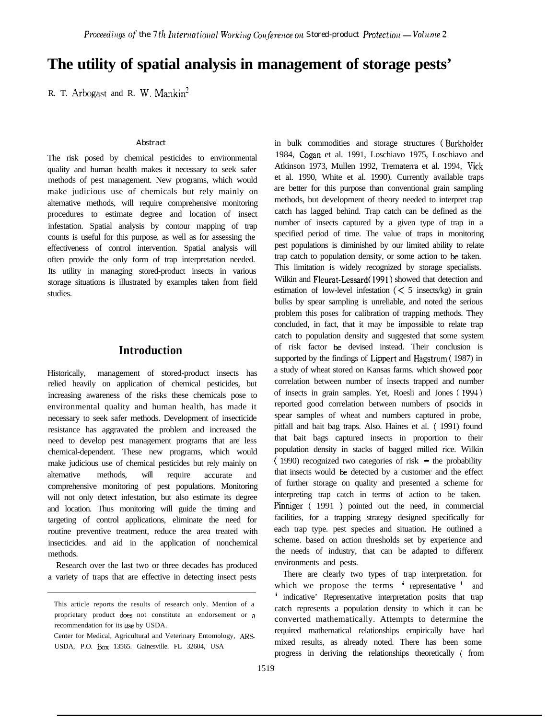# **The utility of spatial analysis in management of storage pests'**

R. T. Arbogast and R. W. Mankin'

#### *Abstract*

The risk posed by chemical pesticides to environmental quality and human health makes it necessary to seek safer methods of pest management. New programs, which would make judicious use of chemicals but rely mainly on alternative methods, will require comprehensive monitoring procedures to estimate degree and location of insect infestation. Spatial analysis by contour mapping of trap counts is useful for this purpose. as well as for assessing the effectiveness of control intervention. Spatial analysis will often provide the only form of trap interpretation needed. Its utility in managing stored-product insects in various storage situations is illustrated by examples taken from field studies.

# **Introduction**

Historically, management of stored-product insects has relied heavily on application of chemical pesticides, but increasing awareness of the risks these chemicals pose to environmental quality and human health, has made it necessary to seek safer methods. Development of insecticide resistance has aggravated the problem and increased the need to develop pest management programs that are less chemical-dependent. These new programs, which would make judicious use of chemical pesticides but rely mainly on alternative methods, will require accurate and comprehensive monitoring of pest populations. Monitoring will not only detect infestation, but also estimate its degree and location. Thus monitoring will guide the timing and targeting of control applications, eliminate the need for routine preventive treatment, reduce the area treated with insecticides. and aid in the application of nonchemical methods.

Research over the last two or three decades has produced a variety of traps that are effective in detecting insect pests

in bulk commodities and storage structures (Burkholder 1984, Cogan et al. 1991, Loschiavo 1975, Loschiavo and Atkinson 1973, Mullen 1992, Trematerra et al. 1994, Vick et al. 1990, White et al. 1990). Currently available traps are better for this purpose than conventional grain sampling methods, but development of theory needed to interpret trap catch has lagged behind. Trap catch can be defined as the number of insects captured by a given type of trap in a specified period of time. The value of traps in monitoring pest populations is diminished by our limited ability to relate trap catch to population density, or some action to be taken. This limitation is widely recognized by storage specialists. Wilkin and Fleurat-Lessard( 1991) showed that detection and estimation of low-level infestation  $\zeta \leq 5$  insects/kg) in grain bulks by spear sampling is unreliable, and noted the serious problem this poses for calibration of trapping methods. They concluded, in fact, that it may be impossible to relate trap catch to population density and suggested that some system of risk factor be devised instead. Their conclusion is supported by the findings of Lippert and Hagstrum ( 1987) in a study of wheat stored on Kansas farms. which showed poor correlation between number of insects trapped and number of insects in grain samples. Yet, Roesli and Jones ( 199-l) reported good correlation between numbers of psocids in spear samples of wheat and numbers captured in probe, pitfall and bait bag traps. Also. Haines et al. ( 1991) found that bait bags captured insects in proportion to their population density in stacks of bagged milled rice. Wilkin  $(1990)$  recognized two categories of risk  $-$  the probability that insects would be detected by a customer and the effect of further storage on quality and presented a scheme for interpreting trap catch in terms of action to be taken. Pinniger (1991) pointed out the need, in commercial facilities, for a trapping strategy designed specifically for each trap type. pest species and situation. He outlined a scheme. based on action thresholds set by experience and the needs of industry, that can be adapted to different environments and pests.

There are clearly two types of trap interpretation. for which we propose the terms ' representative ' and ' indicative' Representative interpretation posits that trap catch represents a population density to which it can be converted mathematically. Attempts to determine the required mathematical relationships empirically have had mixed results, as already noted. There has been some progress in deriving the relationships theoretically ( from

This article reports the results of research only. Mention of a proprietary product does not constitute an endorsement or a recommendation for its use by USDA.

Center for Medical, Agricultural and Veterinary Entomology, ARS USDA, P.O. Box 13565. Gainesville. FL 32604, USA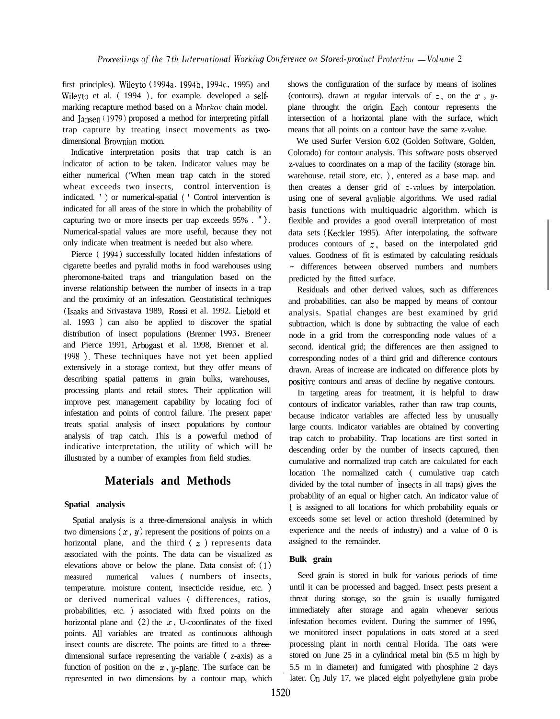first principles). Wileyto (1994a, 1994b, 1994c, 1995) and Wileyto et al.  $(1994)$ , for example. developed a selfmarking recapture method based on a Markov chain model. and Jansen ( 1979) proposed a method for interpreting pitfall trap capture by treating insect movements as twodimensional Brownian motion.

Indicative interpretation posits that trap catch is an indicator of action to be taken. Indicator values may be either numerical ('When mean trap catch in the stored wheat exceeds two insects, control intervention is indicated. ' ) or numerical-spatial ( ' Control intervention is indicated for all areas of the store in which the probability of capturing two or more insects per trap exceeds 95% . ' ). Numerical-spatial values are more useful, because they not only indicate when treatment is needed but also where.

Pierce ( 1994) successfully located hidden infestations of cigarette beetles and pyralid moths in food warehouses using pheromone-baited traps and triangulation based on the inverse relationship between the number of insects in a trap and the proximity of an infestation. Geostatistical techniques (Isaaks and Srivastava 1989, Rossi et al. 1992. Liebold et al. 1993 ) can also be applied to discover the spatial distribution of insect populations (Brenner 19Y3, Breneer and Pierce 1991, Arbogast et al. 1998, Brenner et al. <sup>1998</sup> ). These techniques have not yet been applied extensively in a storage context, but they offer means of describing spatial patterns in grain bulks, warehouses, processing plants and retail stores. Their application will improve pest management capability by locating foci of infestation and points of control failure. The present paper treats spatial analysis of insect populations by contour analysis of trap catch. This is a powerful method of indicative interpretation, the utility of which will be illustrated by a number of examples from field studies.

# **Materials and Methods**

#### **Spatial analysis**

Spatial analysis is a three-dimensional analysis in which two dimensions  $(x, y)$  represent the positions of points on a horizontal plane, and the third  $(z)$  represents data associated with the points. The data can be visualized as elevations above or below the plane. Data consist of: (1) measured numerical values ( numbers of insects, temperature. moisture content, insecticide residue, etc. ) or derived numerical values ( differences, ratios, probabilities, etc. ) associated with fixed points on the horizontal plane and  $(2)$  the x, U-coordinates of the fixed points. All variables are treated as continuous although insect counts are discrete. The points are fitted to a threedimensional surface representing the variable ( z-axis) as a function of position on the  $x$ ,  $y$ -plane. The surface can be represented in two dimensions by a contour map, which

shows the configuration of the surface by means of isolines (contours). drawn at regular intervals of  $z$ , on the  $x$ ,  $y$ plane throught the origin. Each contour represents the intersection of a horizontal plane with the surface, which means that all points on a contour have the same z-value.

We used Surfer Version 6.02 (Golden Software, Golden, Colorado) for contour analysis. This software posts observed z-values to coordinates on a map of the facility (storage bin. warehouse. retail store, etc. ), entered as a base map. and then creates a denser grid of  $z$ -values by interpolation. using one of several avaliable algorithms. We used radial basis functions with multiquadric algorithm. which is flexible and provides a good overall interpretation of most data sets (Keckler 1995). After interpolating, the software produces contours of  $z$ , based on the interpolated grid values. Goodness of fit is estimated by calculating residuals - differences between observed numbers and numbers predicted by the fitted surface.

Residuals and other derived values, such as differences and probabilities. can also be mapped by means of contour analysis. Spatial changes are best examined by grid subtraction, which is done by subtracting the value of each node in a grid from the corresponding node values of a second. identical grid; the differences are then assigned to corresponding nodes of a third grid and difference contours drawn. Areas of increase are indicated on difference plots by positive contours and areas of decline by negative contours.

In targeting areas for treatment, it is helpful to draw contours of indicator variables, rather than raw trap counts, because indicator variables are affected less by unusually large counts. Indicator variables are obtained by converting trap catch to probability. Trap locations are first sorted in descending order by the number of insects captured, then cumulative and normalized trap catch are calculated for each location The normalized catch ( cumulative trap catch divided by the total number of insects in all traps) gives the probability of an equal or higher catch. An indicator value of 1 is assigned to all locations for which probability equals or exceeds some set level or action threshold (determined by experience and the needs of industry) and a value of 0 is assigned to the remainder.

### **Bulk grain**

Seed grain is stored in bulk for various periods of time until it can be processed and bagged. Insect pests present a threat during storage, so the grain is usually fumigated immediately after storage and again whenever serious infestation becomes evident. During the summer of 1996, we monitored insect populations in oats stored at a seed processing plant in north central Florida. The oats were stored on June 25 in a cylindrical metal bin (5.5 m high by 5.5 m in diameter) and fumigated with phosphine 2 days later. On July 17, we placed eight polyethylene grain probe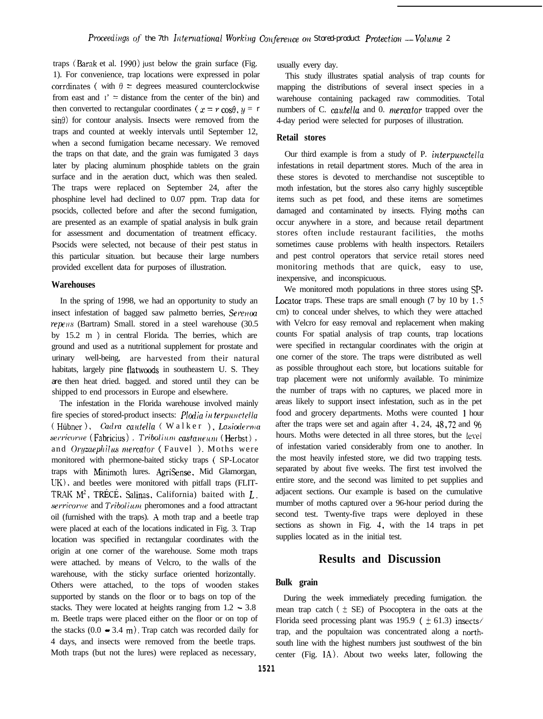traps (Barak et al. 1990) just below the grain surface (Fig. 1). For convenience, trap locations were expressed in polar corrdinates ( with  $\theta$  = degrees measured counterclockwise from east and  $I' =$  distance from the center of the bin) and then converted to rectangular coordinates ( $x = r \cos\theta$ ,  $y = r$  $\sin\theta$ ) for contour analysis. Insects were removed from the traps and counted at weekly intervals until September 12, when a second fumigation became necessary. We removed the traps on that date, and the grain was fumigated 3 days later by placing aluminum phosphide tablets on the grain surface and in the aeration duct, which was then sealed. The traps were replaced on September 24, after the phosphine level had declined to 0.07 ppm. Trap data for psocids, collected before and after the second fumigation, are presented as an example of spatial analysis in bulk grain for assessment and documentation of treatment efficacy. Psocids were selected, not because of their pest status in this particular situation. but because their large numbers provided excellent data for purposes of illustration.

#### **Warehouses**

In the spring of 1998, we had an opportunity to study an insect infestation of bagged saw palmetto berries,  $Serevoa$ repens (Bartram) Small. stored in a steel warehouse (30.5) by 15.2 m ) in central Florida. The berries, which are ground and used as a nutritional supplement for prostate and urinary well-being, are harvested from their natural habitats, largely pine flatwoods in southeastern U. S. They *are* then heat dried. bagged. and stored until they can be shipped to end processors in Europe and elsewhere.

The infestation in the Florida warehouse involved mainly fire species of stored-product insects:  $Plodia$  *in terpunctella* ( Hiibner 1, *Cadva caudel/a* ( Walker ), *Lasicdema*  $s$ erricorne<sup>(Fabricius), Tribolium castaneum<sup>(Herbst),</sup></sup> and *Oruzaephilus mercator* (Fauvel). Moths were monitored with phermone-baited sticky traps ( SP-Locator traps with Minimoth lures. AgriSense. Mid Glamorgan, UK), and beetles were monitored with pitfall traps (FLIT-TRAK  $M^2$ , TRÉCÉ, Salinas, California) baited with  $L$ . *sem'come* and *Tribolium* pheromones and a food attractant oil (furnished with the traps). A moth trap and a beetle trap were placed at each of the locations indicated in Fig. 3. Trap location was specified in rectangular coordinates with the origin at one corner of the warehouse. Some moth traps were attached. by means of Velcro, to the walls of the warehouse, with the sticky surface oriented horizontally. Others were attached, to the tops of wooden stakes supported by stands on the floor or to bags on top of the stacks. They were located at heights ranging from 1.2 - 3.8 m. Beetle traps were placed either on the floor or on top of the stacks  $(0.0 - 3.4 \text{ m})$ . Trap catch was recorded daily for 4 days, and insects were removed from the beetle traps. Moth traps (but not the lures) were replaced as necessary,

usually every day.

This study illustrates spatial analysis of trap counts for mapping the distributions of several insect species in a warehouse containing packaged raw commodities. Total numbers of C. *cautella* and 0. *mercator* trapped over the 4-day period were selected for purposes of illustration.

#### **Retail stores**

Our third example is from a study of P. *interpanctella* infestations in retail department stores. Much of the area in these stores is devoted to merchandise not susceptible to moth infestation, but the stores also carry highly susceptible items such as pet food, and these items are sometimes damaged and contaminated by insects. Flying moths can occur anywhere in a store, and because retail department stores often include restaurant facilities, the moths sometimes cause problems with health inspectors. Retailers and pest control operators that service retail stores need monitoring methods that are quick, easy to use, inexpensive, and inconspicuous.

We monitored moth populations in three stores using SP-Locator traps. These traps are small enough (7 by 10 by 1.5) cm) to conceal under shelves, to which they were attached with Velcro for easy removal and replacement when making counts For spatial analysis of trap counts, trap locations were specified in rectangular coordinates with the origin at one corner of the store. The traps were distributed as well as possible throughout each store, but locations suitable for trap placement were not uniformly available. To minimize the number of traps with no captures, we placed more in areas likely to support insect infestation, such as in the pet food and grocery departments. Moths were counted 1 hour after the traps were set and again after  $-1$ ,  $24$ ,  $-48$ ,  $-72$  and  $-96$ hours. Moths were detected in all three stores, but the level of infestation varied considerably from one to another. In the most heavily infested store, we did two trapping tests. separated by about five weeks. The first test involved the entire store, and the second was limited to pet supplies and adjacent sections. Our example is based on the cumulative mumber of moths captured over a 96-hour period during the second test. Twenty-five traps were deployed in these sections as shown in Fig. 4, with the 14 traps in pet supplies located as in the initial test.

# **Results and Discussion**

### **Bulk grain**

During the week immediately preceding fumigation. the mean trap catch  $(\pm \text{ SE})$  of Psocoptera in the oats at the Florida seed processing plant was 195.9 ( $\pm$  61.3) insects/ trap, and the popultaion was concentrated along a northsouth line with the highest numbers just southwest of the bin center (Fig.  $1A$ ). About two weeks later, following the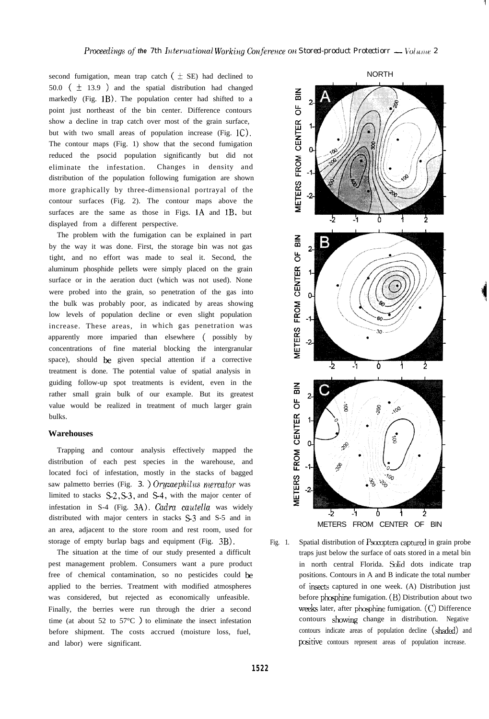second fumigation, mean trap catch  $(\pm S$ E) had declined to 50.0 ( $\pm$  13.9 ) and the spatial distribution had changed markedly (Fig. 1B). The population center had shifted to a point just northeast of the bin center. Difference contours show a decline in trap catch over most of the grain surface, but with two small areas of population increase  $(Fig, 1C)$ . The contour maps (Fig. 1) show that the second fumigation reduced the psocid population significantly but did not eliminate the infestation. Changes in density and distribution of the population following fumigation are shown more graphically by three-dimensional portrayal of the contour surfaces (Fig. 2). The contour maps above the surfaces are the same as those in Figs.  $1A$  and  $1B$ , but displayed from a different perspective.

The problem with the fumigation can be explained in part by the way it was done. First, the storage bin was not gas tight, and no effort was made to seal it. Second, the aluminum phosphide pellets were simply placed on the grain surface or in the aeration duct (which was not used). None were probed into the grain, so penetration of the gas into the bulk was probably poor, as indicated by areas showing low levels of population decline or even slight population increase. These areas, in which gas penetration was apparently more imparied than elsewhere ( possibly by concentrations of fine material blocking the intergranular space), should be given special attention if a corrective treatment is done. The potential value of spatial analysis in guiding follow-up spot treatments is evident, even in the rather small grain bulk of our example. But its greatest value would be realized in treatment of much larger grain bulks.

#### **Warehouses**

Trapping and contour analysis effectively mapped the distribution of each pest species in the warehouse, and located foci of infestation, mostly in the stacks of bagged saw palmetto berries (Fig. 3.) *Oryzaephilus mercator* was limited to stacks  $S<sub>2</sub>, S<sub>3</sub>$ , and  $S<sub>4</sub>$ , with the major center of infestation in S-4 (Fig. 3A). *Cadra cautella* was widely distributed with major centers in stacks S-3 and S-5 and in an area, adjacent to the store room and rest room, used for storage of empty burlap bags and equipment (Fig. 3B).

The situation at the time of our study presented a difficult pest management problem. Consumers want a pure product free of chemical contamination, so no pesticides could be applied to the berries. Treatment with modified atmospheres was considered, but rejected as economically unfeasible. Finally, the berries were run through the drier a second time (at about 52 to 57 $\degree$ C) to eliminate the insect infestation before shipment. The costs accrued (moisture loss, fuel, and labor) were significant.



Fig. 1. Spatial distribution of Psocoptera captured in grain probe traps just below the surface of oats stored in a metal bin in north central Florida. Solid dots indicate trap positions. Contours in A and B indicate the total number of insects captured in one week. (A) Distribution just before phosphine fumigation. (B) Distribution about two weeks later, after phosphine fumigation.  $(C)$  Difference contours showing change in distribution. Negative contours indicate areas of population decline (shaded) and positive contours represent areas of population increase.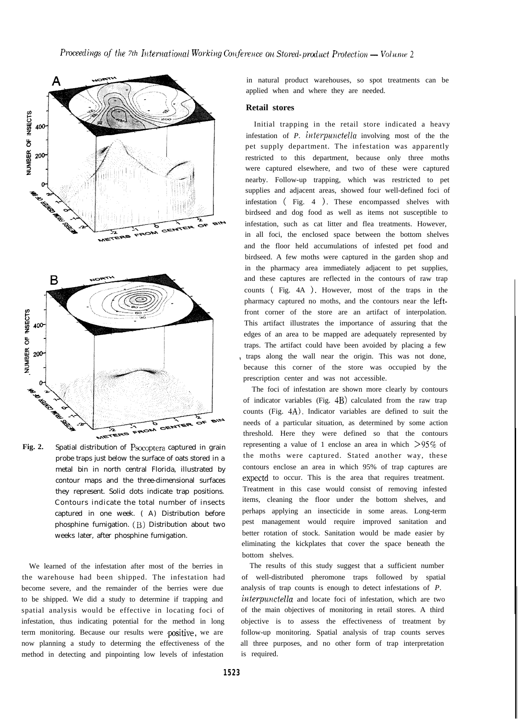

**Fig. 2.** Spatial distribution of Psocoptera captured in grain probe traps just below the surface of oats stored in a metal bin in north central Florida, illustrated by contour maps and the three-dimensional surfaces they represent. Solid dots indicate trap positions. Contours indicate the total number of insects captured in one week. ( A) Distribution before phosphine fumigation. (B) Distribution about two weeks later, after phosphine fumigation.

We learned of the infestation after most of the berries in the warehouse had been shipped. The infestation had become severe, and the remainder of the berries were due to be shipped. We did a study to determine if trapping and spatial analysis would be effective in locating foci of infestation, thus indicating potential for the method in long term monitoring. Because our results were positive, we are now planning a study to determing the effectiveness of the method in detecting and pinpointing low levels of infestation

in natural product warehouses, so spot treatments can be applied when and where they are needed.

#### **Retail stores**

Initial trapping in the retail store indicated a heavy infestation of *P. irlterpunctella* involving most of the the pet supply department. The infestation was apparently restricted to this department, because only three moths were captured elsewhere, and two of these were captured nearby. Follow-up trapping, which was restricted to pet supplies and adjacent areas, showed four well-defined foci of infestation ( Fig. 4 ). These encompassed shelves with birdseed and dog food as well as items not susceptible to infestation, such as cat litter and flea treatments. However, in all foci, the enclosed space between the bottom shelves and the floor held accumulations of infested pet food and birdseed. A few moths were captured in the garden shop and in the pharmacy area immediately adjacent to pet supplies, and these captures are reflected in the contours of raw trap counts (Fig. 4A). However, most of the traps in the pharmacy captured no moths, and the contours near the leftfront corner of the store are an artifact of interpolation. This artifact illustrates the importance of assuring that the edges of an area to be mapped are adequately represented by traps. The artifact could have been avoided by placing a few traps along the wall near the origin. This was not done, because this corner of the store was occupied by the prescription center and was not accessible.

The foci of infestation are shown more clearly by contours of indicator variables (Fig. 4B) calculated from the raw trap counts (Fig. 4A). Indicator variables are defined to suit the needs of a particular situation, as determined by some action threshold. Here they were defined so that the contours representing a value of 1 enclose an area in which  $>95\%$  of the moths were captured. Stated another way, these contours enclose an area in which 95% of trap captures are expectd to occur. This is the area that requires treatment. Treatment in this case would consist of removing infested items, cleaning the floor under the bottom shelves, and perhaps applying an insecticide in some areas. Long-term pest management would require improved sanitation and better rotation of stock. Sanitation would be made easier by eliminating the kickplates that cover the space beneath the bottom shelves.

The results of this study suggest that a sufficient number of well-distributed pheromone traps followed by spatial analysis of trap counts is enough to detect infestations of *P. iwterpuxctella* and locate foci of infestation, which are two of the main objectives of monitoring in retail stores. A third objective is to assess the effectiveness of treatment by follow-up monitoring. Spatial analysis of trap counts serves all three purposes, and no other form of trap interpretation is required.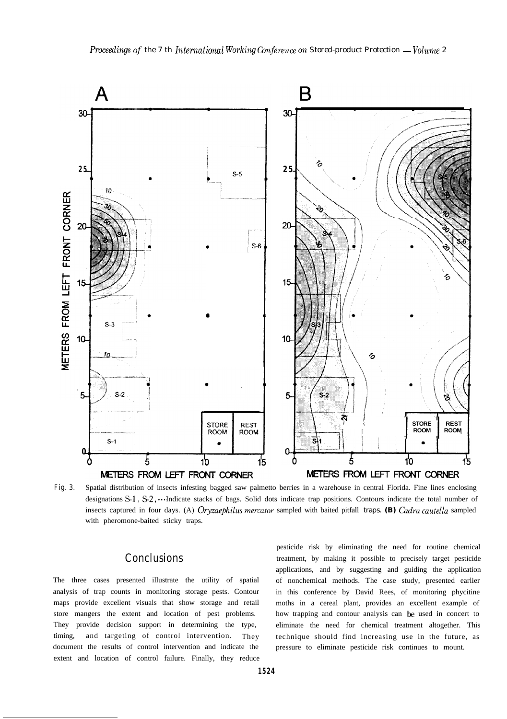

**Fig. 3.** Spatial distribution of insects infesting bagged saw palmetto berries in a warehouse in central Florida. Fine lines enclosing designations  $S_1$ ,  $S_2$ ,  $\cdots$  Indicate stacks of bags. Solid dots indicate trap positions. Contours indicate the total number of insects captured in four days. (A) *Oryzaephilus mercutor* sampled with baited pitfall traps. *(B) Gzdru cuutella* sampled with pheromone-baited sticky traps.

analysis of trap counts in monitoring storage pests. Contour in this conference by David Rees, of monitoring phycitine maps provide excellent visuals that show storage and retail moths in a cereal plant, provides an excellent example of store mangers the extent and location of pest problems. how trapping and contour analysis can be used in concert to They provide decision support in determining the type, eliminate the need for chemical treatment altogether. This timing, and targeting of control intervention. They technique should find increasing use in the future, as document the results of control intervention and indicate the pressure to eliminate pesticide risk continues to mount. extent and location of control failure. Finally, they reduce

pesticide risk by eliminating the need for routine chemical **Conclusions** treatment, by making it possible to precisely target pesticide applications, and by suggesting and guiding the application The three cases presented illustrate the utility of spatial of nonchemical methods. The case study, presented earlier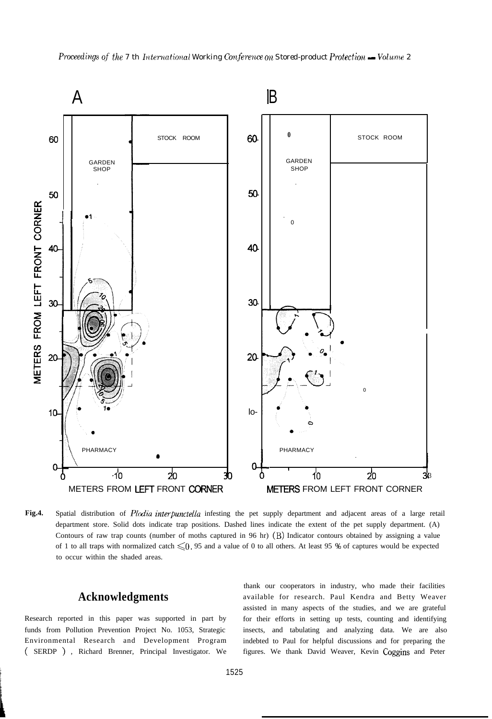

Fig.4. Spatial distribution of *Plodia interpunctella* infesting the pet supply department and adjacent areas of a large retail department store. Solid dots indicate trap positions. Dashed lines indicate the extent of the pet supply department. (A) Contours of raw trap counts (number of moths captured in 96 hr) (B) Indicator contours obtained by assigning a value of 1 to all traps with normalized catch  $\leq 0.95$  and a value of 0 to all others. At least 95 % of captures would be expected to occur within the shaded areas.

# **Acknowledgments**

Research reported in this paper was supported in part by funds from Pollution Prevention Project No. 1053, Strategic Environmental Research and Development Program ( SERDP ), Richard Brenner, Principal Investigator. We

thank our cooperators in industry, who made their facilities available for research. Paul Kendra and Betty Weaver assisted in many aspects of the studies, and we are grateful for their efforts in setting up tests, counting and identifying insects, and tabulating and analyzing data. We are also indebted to Paul for helpful discussions and for preparing the figures. We thank David Weaver, Kevin Coggins and Peter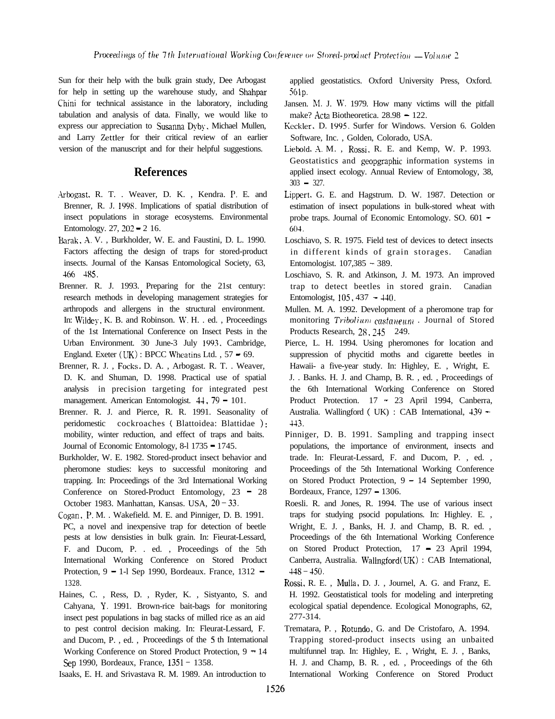Sun for their help with the bulk grain study, Dee Arbogast for help in setting up the warehouse study, and Shahpar Chini for technical assistance in the laboratory, including tabulation and analysis of data. Finally, we would like to express our appreciation to Susanna Dyby, Michael Mullen, and Larry Zettler for their critical review of an earlier version of the manuscript and for their helpful suggestions.

## **References**

- Arbogast, R. T. . Weaver, D. K., Kendra. P. E. and Brenner, R. J. 199s. Implications of spatial distribution of insect populations in storage ecosystems. Environmental Entomology. 27, 202 - 2 16.
- Barak. A. V. , Burkholder, W. E. and Faustini, D. L. 1990. Factors affecting the design of traps for stored-product insects. Journal of the Kansas Entomological Society, 63, -166 - 485.
- Brenner. R. J. 1993. Preparing for the 21st century: research methods in developing management strategies for arthropods and allergens in the structural environment. In: Wildey, K. B. and Robinson. W. H. . ed., Proceedings of the 1st International Conference on Insect Pests in the Urban Environment. 30 June-3 July 1993, Cambridge, England. Exeter  $(UK)$ : BPCC Wheatins Ltd., 57 = 69.
- Brenner, R. J. , Focks. D. A. , Arbogast. R. T. . Weaver, D. K. and Shuman, D. 1998. Practical use of spatial analysis in precision targeting for integrated pest management. American Entomologist.  $44, 79 - 101$ .
- Brenner. R. J. and Pierce, R. R. 1991. Seasonality of peridomestic cockroaches ( Blattoidea: Blattidae ): mobility, winter reduction, and effect of traps and baits. Journal of Economic Entomology, 8-l 1735 - 1745.
- Burkholder, W. E. 1982. Stored-product insect behavior and pheromone studies: keys to successful monitoring and trapping. In: Proceedings of the 3rd International Working Conference on Stored-Product Entomology, 23 = 28 October 1983. Manhattan, Kansas. USA, 20-33.
- Cogan, P. M. . Wakefield. M. E. and Pinniger, D. B. 1991. PC, a novel and inexpensive trap for detection of beetle pests at low densisties in bulk grain. In: Fieurat-Lessard, F. and Ducom, P. . ed. , Proceedings of the 5th International Working Conference on Stored Product Protection,  $9 - 1$ -1 Sep 1990, Bordeaux. France, 1312  $-$ 1328.
- Haines, C. , Ress, D. , Ryder, K. , Sistyanto, S. and Cahyana, Y. 1991. Brown-rice bait-bags for monitoring insect pest populations in bag stacks of milled rice as an aid to pest control decision making. In: Fleurat-Lessard, F. and Ducom, P. , ed. , Proceedings of the 5 th International Working Conference on Stored Product Protection,  $9 - 14$ Sep 1990, Bordeaux, France, 1351 - 1358.

Isaaks, E. H. and Srivastava R. M. 1989. An introduction to

applied geostatistics. Oxford University Press, Oxford. 561~.

- Jansen. M. J. W. 1979. How many victims will the pitfall make? Acta Biotheoretica. 28.98 - 122.
- Keckler. D. 1095. Surfer for Windows. Version 6. Golden Software, Inc. , Golden, Colorado, USA.
- Liebold. A. M. , Rossi, R. E. and Kemp, W. P. 1993. Geostatistics and geopgraphic information systems in applied insect ecology. Annual Review of Entomology, 38,  $303 - 327$ .
- Lippert. G. E. and Hagstrum. D. W. 1987. Detection or estimation of insect populations in bulk-stored wheat with probe traps. Journal of Economic Entomology. SO. 601 - 601.
- Loschiavo, S. R. 1975. Field test of devices to detect insects in different kinds of grain storages. Canadian Entomologist. 107,385 - 389.
- Loschiavo, S. R. and Atkinson, J. M. 1973. An improved trap to detect beetles in stored grain. Canadian Entomologist, 105, 437 - 140.
- Mullen. M. A. 1992. Development of a pheromone trap for monitoring  $Tribolium\ castanew$ . Journal of Stored Products Research, 28, 245 249.
- Pierce, L. H. 1994. Using pheromones for location and suppression of phycitid moths and cigarette beetles in Hawaii- a five-year study. In: Highley, E. , Wright, E. J. . Banks. H. J. and Champ, B. R. , ed. , Proceedings of the 6th International Working Conference on Stored Product Protection. 17 - 23 April 1994, Canberra, Australia. Wallingford ( UK) : CAB International, <sup>139</sup> - 443.
- Pinniger, D. B. 1991. Sampling and trapping insect populations, the importance of environment, insects and trade. In: Fleurat-Lessard, F. and Ducom, P. , ed. , Proceedings of the 5th International Working Conference on Stored Product Protection, 9 - 14 September 1990, Bordeaux, France, 1297 - 1306.
- Roesli. R. and Jones, R. 1994. The use of various insect traps for studying psocid populations. In: Highley. E. , Wright, E. J. , Banks, H. J. and Champ, B. R. ed. , Proceedings of the 6th International Working Conference on Stored Product Protection, 17 - 23 April 1994, Canberra, Australia. Wallngford (UK) : CAB International,  $448 - 450$ .
- Rossi. R. E. , Mulla, D. J. , Journel, A. G. and Franz, E. H. 1992. Geostatistical tools for modeling and interpreting ecological spatial dependence. Ecological Monographs, 62, 277-314.
- Trematara, P. , Rotundo, G. and De Cristofaro, A. 1994. Trapping stored-product insects using an unbaited multifunnel trap. In: Highley, E. , Wright, E. J. , Banks, H. J. and Champ, B. R. , ed. , Proceedings of the 6th International Working Conference on Stored Product